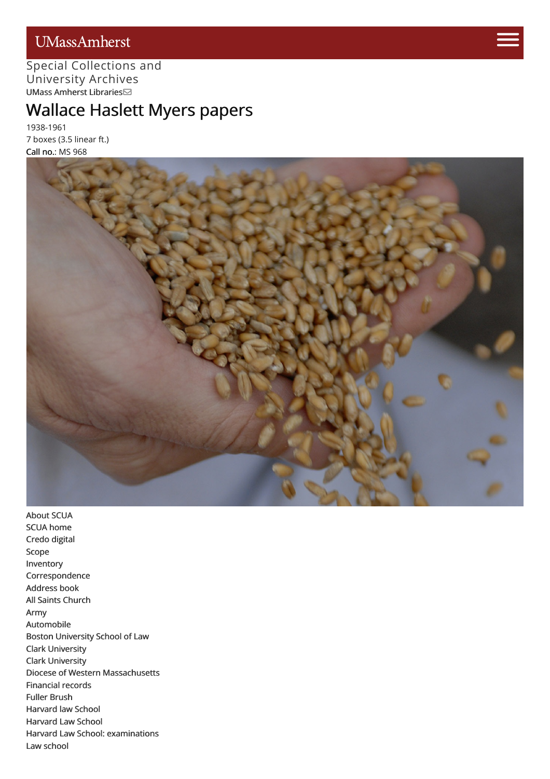## UMassAmherst



#### Special [Collections](http://scua.library.umass.edu) [and](https://www.umass.edu/admissions/visits/visit-campus) University Archives UMass Amherst [Libraries](http://library.umass.edu)

# Wallace Haslett [Mye](https://www.umass.edu/admissions)rs papers

1938-1961 7 boxes (3.5 linear ft.) Call no.: MS 968



[About](http://scua.library.umass.edu/) SCUA SCUA [home](http://scua.library.umass.edu) [Credo](http://credo.library.umass.edu/) digital [Scope](#page-1-0) [Inventory](#page-3-0) [Correspondence](#page-6-0) [Address](#page-10-0) book All Saints [Church](#page-10-1) [Army](#page-10-2) [Automobile](#page-10-3) Boston [University](#page-10-4) School of Law Clark [University](#page-10-5) Clark [University](#page-10-6) Diocese of Western [Massachusetts](#page-10-7) [Financial](#page-10-8) records Fuller [Brush](#page-10-9) [Harvard](#page-10-10) law School [Harvard](#page-10-11) Law School Harvard Law School: [examinations](#page-10-12) Law [school](#page-10-13)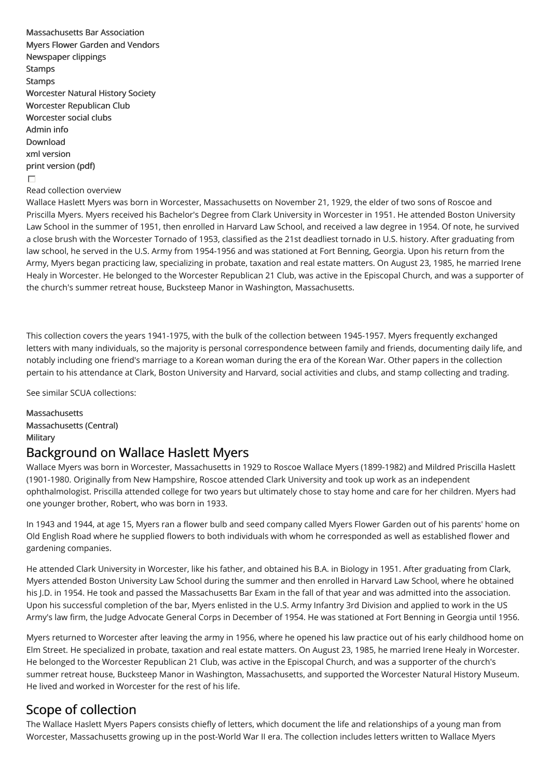[Massachusetts](#page-10-14) Bar Association Myers Flower Garden and [Vendors](#page-10-15) [Newspaper](#page-10-16) clippings [Stamps](#page-10-17) [Stamps](#page-10-18) [Worcester](#page-10-19) Natural History Society Worcester [Republican](#page-11-0) Club [Worcester](#page-11-1) social clubs [Admin](#page-11-2) info [Download](http://scua.library.umass.edu/) xml [version](file:///tmp/mums968.xml) print [version](file:///tmp/mums968.pdf) (pdf)  $\Box$ Read collection overview

Wallace Haslett Myers was born in Worcester, Massachusetts on November 21, 1929, the elder of two sons of Roscoe and Priscilla Myers. Myers received his Bachelor's Degree from Clark University in Worcester in 1951. He attended Boston University Law School in the summer of 1951, then enrolled in Harvard Law School, and received a law degree in 1954. Of note, he survived a close brush with the Worcester Tornado of 1953, classified as the 21st deadliest tornado in U.S. history. After graduating from law school, he served in the U.S. Army from 1954-1956 and was stationed at Fort Benning, Georgia. Upon his return from the Army, Myers began practicing law, specializing in probate, taxation and real estate matters. On August 23, 1985, he married Irene Healy in Worcester. He belonged to the Worcester Republican 21 Club, was active in the Episcopal Church, and was a supporter of the church's summer retreat house, Bucksteep Manor in Washington, Massachusetts.

This collection covers the years 1941-1975, with the bulk of the collection between 1945-1957. Myers frequently exchanged letters with many individuals, so the majority is personal correspondence between family and friends, documenting daily life, and notably including one friend's marriage to a Korean woman during the era of the Korean War. Other papers in the collection pertain to his attendance at Clark, Boston University and Harvard, social activities and clubs, and stamp collecting and trading.

See similar SCUA collections:

[Massachusetts](http://scua.library.umass.edu/umarmot/category/new-england/massachusetts) [Massachusetts](http://scua.library.umass.edu/umarmot/category/new-england/massachusetts-central) (Central) **[Military](http://scua.library.umass.edu/umarmot/category/military)** 

#### Background on Wallace Haslett Myers

Wallace Myers was born in Worcester, Massachusetts in 1929 to Roscoe Wallace Myers (1899-1982) and Mildred Priscilla Haslett (1901-1980. Originally from New Hampshire, Roscoe attended Clark University and took up work as an independent ophthalmologist. Priscilla attended college for two years but ultimately chose to stay home and care for her children. Myers had one younger brother, Robert, who was born in 1933.

In 1943 and 1944, at age 15, Myers ran a flower bulb and seed company called Myers Flower Garden out of his parents' home on Old English Road where he supplied flowers to both individuals with whom he corresponded as well as established flower and gardening companies.

He attended Clark University in Worcester, like his father, and obtained his B.A. in Biology in 1951. After graduating from Clark, Myers attended Boston University Law School during the summer and then enrolled in Harvard Law School, where he obtained his J.D. in 1954. He took and passed the Massachusetts Bar Exam in the fall of that year and was admitted into the association. Upon his successful completion of the bar, Myers enlisted in the U.S. Army Infantry 3rd Division and applied to work in the US Army's law firm, the Judge Advocate General Corps in December of 1954. He was stationed at Fort Benning in Georgia until 1956.

Myers returned to Worcester after leaving the army in 1956, where he opened his law practice out of his early childhood home on Elm Street. He specialized in probate, taxation and real estate matters. On August 23, 1985, he married Irene Healy in Worcester. He belonged to the Worcester Republican 21 Club, was active in the Episcopal Church, and was a supporter of the church's summer retreat house, Bucksteep Manor in Washington, Massachusetts, and supported the Worcester Natural History Museum. He lived and worked in Worcester for the rest of his life.

## <span id="page-1-0"></span>Scope of collection

The Wallace Haslett Myers Papers consists chiefly of letters, which document the life and relationships of a young man from Worcester, Massachusetts growing up in the post-World War II era. The collection includes letters written to Wallace Myers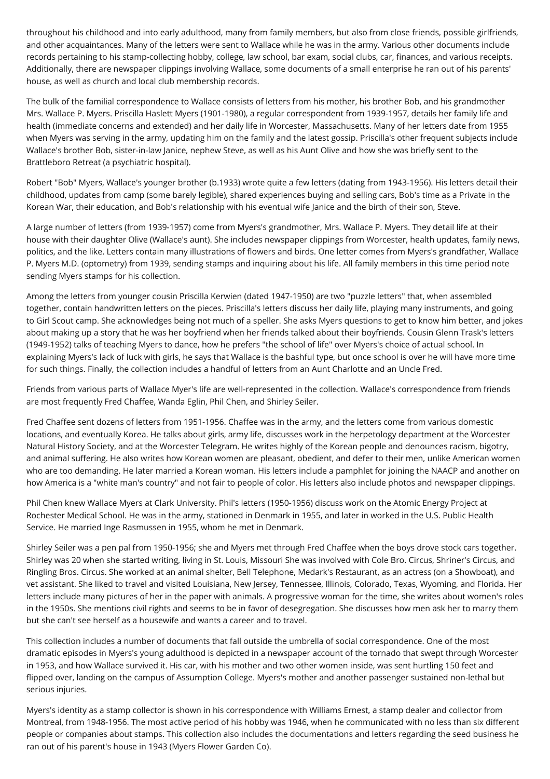throughout his childhood and into early adulthood, many from family members, but also from close friends, possible girlfriends, and other acquaintances. Many of the letters were sent to Wallace while he was in the army. Various other documents include records pertaining to his stamp-collecting hobby, college, law school, bar exam, social clubs, car, finances, and various receipts. Additionally, there are newspaper clippings involving Wallace, some documents of a small enterprise he ran out of his parents' house, as well as church and local club membership records.

The bulk of the familial correspondence to Wallace consists of letters from his mother, his brother Bob, and his grandmother Mrs. Wallace P. Myers. Priscilla Haslett Myers (1901-1980), a regular correspondent from 1939-1957, details her family life and health (immediate concerns and extended) and her daily life in Worcester, Massachusetts. Many of her letters date from 1955 when Myers was serving in the army, updating him on the family and the latest gossip. Priscilla's other frequent subjects include Wallace's brother Bob, sister-in-law Janice, nephew Steve, as well as his Aunt Olive and how she was briefly sent to the Brattleboro Retreat (a psychiatric hospital).

Robert "Bob" Myers, Wallace's younger brother (b.1933) wrote quite a few letters (dating from 1943-1956). His letters detail their childhood, updates from camp (some barely legible), shared experiences buying and selling cars, Bob's time as a Private in the Korean War, their education, and Bob's relationship with his eventual wife Janice and the birth of their son, Steve.

A large number of letters (from 1939-1957) come from Myers's grandmother, Mrs. Wallace P. Myers. They detail life at their house with their daughter Olive (Wallace's aunt). She includes newspaper clippings from Worcester, health updates, family news, politics, and the like. Letters contain many illustrations of flowers and birds. One letter comes from Myers's grandfather, Wallace P. Myers M.D. (optometry) from 1939, sending stamps and inquiring about his life. All family members in this time period note sending Myers stamps for his collection.

Among the letters from younger cousin Priscilla Kerwien (dated 1947-1950) are two "puzzle letters" that, when assembled together, contain handwritten letters on the pieces. Priscilla's letters discuss her daily life, playing many instruments, and going to Girl Scout camp. She acknowledges being not much of a speller. She asks Myers questions to get to know him better, and jokes about making up a story that he was her boyfriend when her friends talked about their boyfriends. Cousin Glenn Trask's letters (1949-1952) talks of teaching Myers to dance, how he prefers "the school of life" over Myers's choice of actual school. In explaining Myers's lack of luck with girls, he says that Wallace is the bashful type, but once school is over he will have more time for such things. Finally, the collection includes a handful of letters from an Aunt Charlotte and an Uncle Fred.

Friends from various parts of Wallace Myer's life are well-represented in the collection. Wallace's correspondence from friends are most frequently Fred Chaffee, Wanda Eglin, Phil Chen, and Shirley Seiler.

Fred Chaffee sent dozens of letters from 1951-1956. Chaffee was in the army, and the letters come from various domestic locations, and eventually Korea. He talks about girls, army life, discusses work in the herpetology department at the Worcester Natural History Society, and at the Worcester Telegram. He writes highly of the Korean people and denounces racism, bigotry, and animal suffering. He also writes how Korean women are pleasant, obedient, and defer to their men, unlike American women who are too demanding. He later married a Korean woman. His letters include a pamphlet for joining the NAACP and another on how America is a "white man's country" and not fair to people of color. His letters also include photos and newspaper clippings.

Phil Chen knew Wallace Myers at Clark University. Phil's letters (1950-1956) discuss work on the Atomic Energy Project at Rochester Medical School. He was in the army, stationed in Denmark in 1955, and later in worked in the U.S. Public Health Service. He married Inge Rasmussen in 1955, whom he met in Denmark.

Shirley Seiler was a pen pal from 1950-1956; she and Myers met through Fred Chaffee when the boys drove stock cars together. Shirley was 20 when she started writing, living in St. Louis, Missouri She was involved with Cole Bro. Circus, Shriner's Circus, and Ringling Bros. Circus. She worked at an animal shelter, Bell Telephone, Medark's Restaurant, as an actress (on a Showboat), and vet assistant. She liked to travel and visited Louisiana, New Jersey, Tennessee, Illinois, Colorado, Texas, Wyoming, and Florida. Her letters include many pictures of her in the paper with animals. A progressive woman for the time, she writes about women's roles in the 1950s. She mentions civil rights and seems to be in favor of desegregation. She discusses how men ask her to marry them but she can't see herself as a housewife and wants a career and to travel.

This collection includes a number of documents that fall outside the umbrella of social correspondence. One of the most dramatic episodes in Myers's young adulthood is depicted in a newspaper account of the tornado that swept through Worcester in 1953, and how Wallace survived it. His car, with his mother and two other women inside, was sent hurtling 150 feet and flipped over, landing on the campus of Assumption College. Myers's mother and another passenger sustained non-lethal but serious injuries.

Myers's identity as a stamp collector is shown in his correspondence with Williams Ernest, a stamp dealer and collector from Montreal, from 1948-1956. The most active period of his hobby was 1946, when he communicated with no less than six different people or companies about stamps. This collection also includes the documentations and letters regarding the seed business he ran out of his parent's house in 1943 (Myers Flower Garden Co).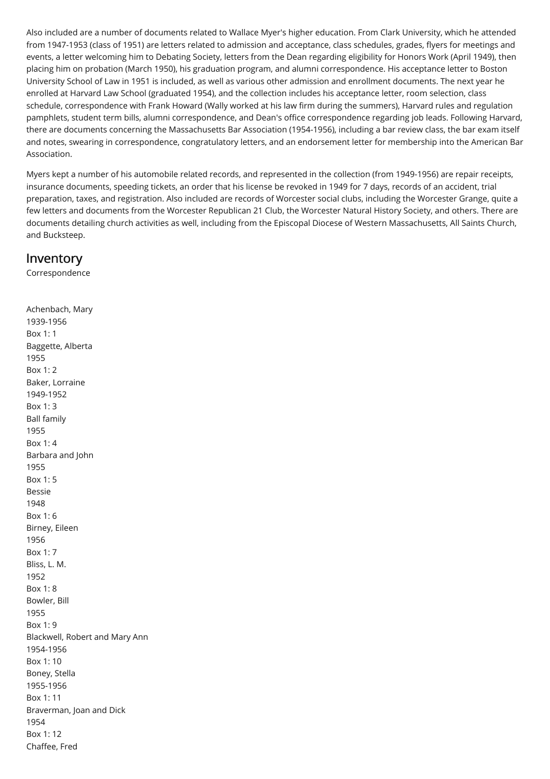Also included are a number of documents related to Wallace Myer's higher education. From Clark University, which he attended from 1947-1953 (class of 1951) are letters related to admission and acceptance, class schedules, grades, flyers for meetings and events, a letter welcoming him to Debating Society, letters from the Dean regarding eligibility for Honors Work (April 1949), then placing him on probation (March 1950), his graduation program, and alumni correspondence. His acceptance letter to Boston University School of Law in 1951 is included, as well as various other admission and enrollment documents. The next year he enrolled at Harvard Law School (graduated 1954), and the collection includes his acceptance letter, room selection, class schedule, correspondence with Frank Howard (Wally worked at his law firm during the summers), Harvard rules and regulation pamphlets, student term bills, alumni correspondence, and Dean's office correspondence regarding job leads. Following Harvard, there are documents concerning the Massachusetts Bar Association (1954-1956), including a bar review class, the bar exam itself and notes, swearing in correspondence, congratulatory letters, and an endorsement letter for membership into the American Bar Association.

Myers kept a number of his automobile related records, and represented in the collection (from 1949-1956) are repair receipts, insurance documents, speeding tickets, an order that his license be revoked in 1949 for 7 days, records of an accident, trial preparation, taxes, and registration. Also included are records of Worcester social clubs, including the Worcester Grange, quite a few letters and documents from the Worcester Republican 21 Club, the Worcester Natural History Society, and others. There are documents detailing church activities as well, including from the Episcopal Diocese of Western Massachusetts, All Saints Church, and Bucksteep.

#### <span id="page-3-0"></span>Inventory

Correspondence

Achenbach, Mary 1939-1956 Box 1: 1 Baggette, Alberta 1955 Box 1: 2 Baker, Lorraine 1949-1952 Box 1: 3 Ball family 1955 Box 1: 4 Barbara and John 1955 Box 1: 5 Bessie 1948 Box 1: 6 Birney, Eileen 1956 Box 1: 7 Bliss, L. M. 1952 Box 1: 8 Bowler, Bill 1955 Box 1: 9 Blackwell, Robert and Mary Ann 1954-1956 Box 1: 10 Boney, Stella 1955-1956 Box 1: 11 Braverman, Joan and Dick 1954 Box 1: 12 Chaffee, Fred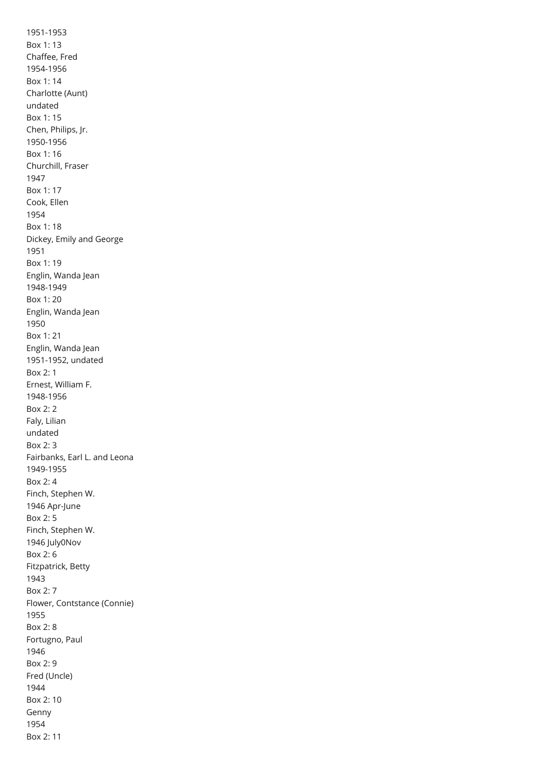1951-1953 Box 1: 13 Chaffee, Fred 1954-1956 Box 1: 14 Charlotte (Aunt) undated Box 1: 15 Chen, Philips, Jr. 1950-1956 Box 1: 16 Churchill, Fraser 1947 Box 1: 17 Cook, Ellen 1954 Box 1: 18 Dickey, Emily and George 1951 Box 1: 19 Englin, Wanda Jean 1948-1949 Box 1: 20 Englin, Wanda Jean 1950 Box 1: 21 Englin, Wanda Jean 1951-1952, undated Box 2: 1 Ernest, William F. 1948-1956 Box 2: 2 Faly, Lilian undated Box 2: 3 Fairbanks, Earl L. and Leona 1949-1955 Box 2: 4 Finch, Stephen W. 1946 Apr-June Box 2: 5 Finch, Stephen W. 1946 July0Nov Box 2: 6 Fitzpatrick, Betty 1943 Box 2: 7 Flower, Contstance (Connie) 1955 Box 2: 8 Fortugno, Paul 1946 Box 2: 9 Fred (Uncle) 1944 Box 2: 10 Genny 1954 Box 2: 11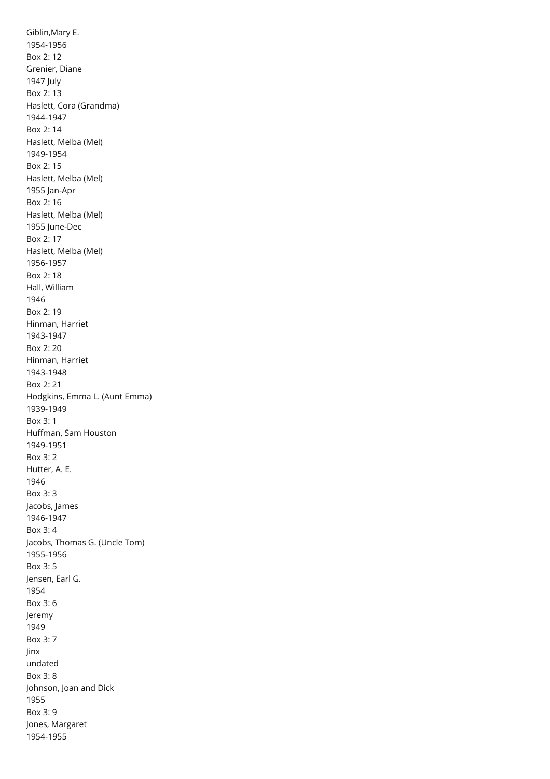Giblin,Mary E. 1954-1956 Box 2: 12 Grenier, Diane 1947 July Box 2: 13 Haslett, Cora (Grandma) 1944-1947 Box 2: 14 Haslett, Melba (Mel) 1949-1954 Box 2: 15 Haslett, Melba (Mel) 1955 Jan-Apr Box 2: 16 Haslett, Melba (Mel) 1955 June-Dec Box 2: 17 Haslett, Melba (Mel) 1956-1957 Box 2: 18 Hall, William 1946 Box 2: 19 Hinman, Harriet 1943-1947 Box 2: 20 Hinman, Harriet 1943-1948 Box 2: 21 Hodgkins, Emma L. (Aunt Emma) 1939-1949 Box 3: 1 Huffman, Sam Houston 1949-1951 Box 3: 2 Hutter, A. E. 1946 Box 3: 3 Jacobs, James 1946-1947 Box 3: 4 Jacobs, Thomas G. (Uncle Tom) 1955-1956 Box 3: 5 Jensen, Earl G. 1954 Box 3: 6 Jeremy 1949 Box 3: 7 Jinx undated Box 3: 8 Johnson, Joan and Dick 1955 Box 3: 9 Jones, Margaret 1954-1955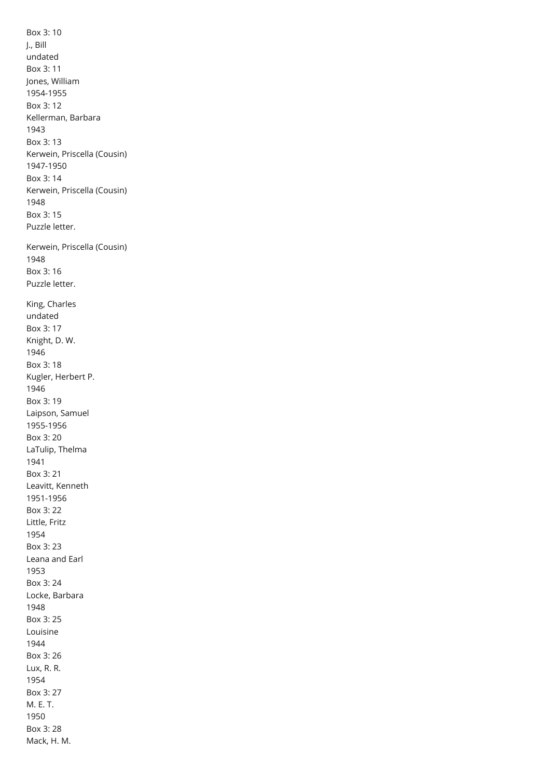<span id="page-6-0"></span>Box 3: 10 J., Bill undated Box 3: 11 Jones, William 1954-1955 Box 3: 12 Kellerman, Barbara 1943 Box 3: 13 Kerwein, Priscella (Cousin) 1947-1950 Box 3: 14 Kerwein, Priscella (Cousin) 1948 Box 3: 15 Puzzle letter. Kerwein, Priscella (Cousin) 1948 Box 3: 16 Puzzle letter. King, Charles undated Box 3: 17 Knight, D. W. 1946 Box 3: 18 Kugler, Herbert P. 1946 Box 3: 19 Laipson, Samuel 1955-1956 Box 3: 20 LaTulip, Thelma 1941 Box 3: 21 Leavitt, Kenneth 1951-1956 Box 3: 22 Little, Fritz 1954 Box 3: 23 Leana and Earl 1953 Box 3: 24 Locke, Barbara 1948 Box 3: 25 Louisine 1944 Box 3: 26 Lux, R. R. 1954 Box 3: 27 M. E. T. 1950 Box 3: 28 Mack, H. M.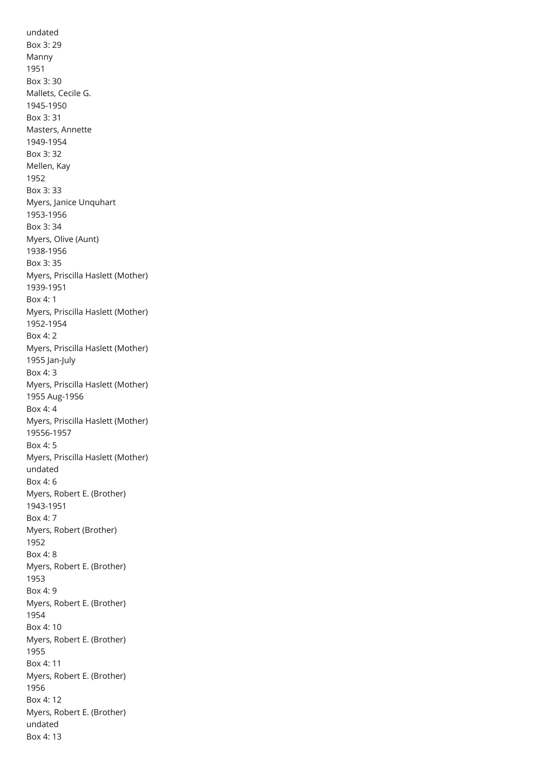undated Box 3: 29 Manny 1951 Box 3: 30 Mallets, Cecile G. 1945-1950 Box 3: 31 Masters, Annette 1949-1954 Box 3: 32 Mellen, Kay 1952 Box 3: 33 Myers, Janice Unquhart 1953-1956 Box 3: 34 Myers, Olive (Aunt) 1938-1956 Box 3: 35 Myers, Priscilla Haslett (Mother) 1939-1951 Box 4: 1 Myers, Priscilla Haslett (Mother) 1952-1954 Box 4: 2 Myers, Priscilla Haslett (Mother) 1955 Jan-July Box 4: 3 Myers, Priscilla Haslett (Mother) 1955 Aug-1956 Box 4: 4 Myers, Priscilla Haslett (Mother) 19556-1957 Box 4: 5 Myers, Priscilla Haslett (Mother) undated Box 4: 6 Myers, Robert E. (Brother) 1943-1951 Box 4: 7 Myers, Robert (Brother) 1952 Box 4: 8 Myers, Robert E. (Brother) 1953 Box 4: 9 Myers, Robert E. (Brother) 1954 Box 4: 10 Myers, Robert E. (Brother) 1955 Box 4: 11 Myers, Robert E. (Brother) 1956 Box 4: 12 Myers, Robert E. (Brother) undated Box 4: 13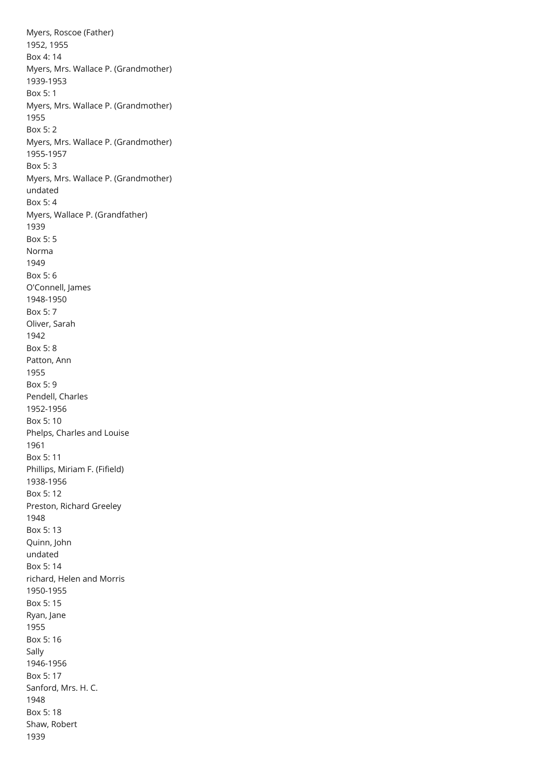Myers, Roscoe (Father) 1952, 1955 Box 4: 14 Myers, Mrs. Wallace P. (Grandmother) 1939-1953 Box 5: 1 Myers, Mrs. Wallace P. (Grandmother) 1955 Box 5: 2 Myers, Mrs. Wallace P. (Grandmother) 1955-1957 Box 5: 3 Myers, Mrs. Wallace P. (Grandmother) undated Box 5: 4 Myers, Wallace P. (Grandfather) 1939 Box 5: 5 Norma 1949 Box 5: 6 O'Connell, James 1948-1950 Box 5: 7 Oliver, Sarah 1942 Box 5: 8 Patton, Ann 1955 Box 5: 9 Pendell, Charles 1952-1956 Box 5: 10 Phelps, Charles and Louise 1961 Box 5: 11 Phillips, Miriam F. (Fifield) 1938-1956 Box 5: 12 Preston, Richard Greeley 1948 Box 5: 13 Quinn, John undated Box 5: 14 richard, Helen and Morris 1950-1955 Box 5: 15 Ryan, Jane 1955 Box 5: 16 Sally 1946-1956 Box 5: 17 Sanford, Mrs. H. C. 1948 Box 5: 18 Shaw, Robert 1939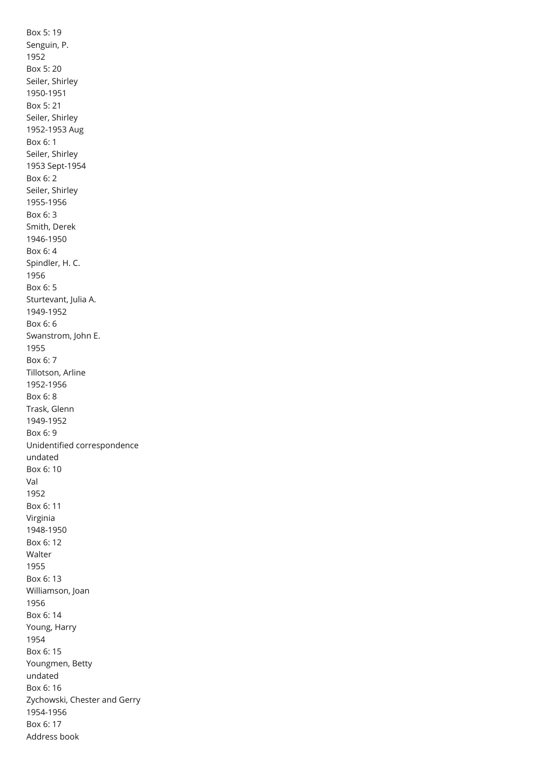Box 5: 19 Senguin, P. 1952 Box 5: 20 Seiler, Shirley 1950-1951 Box 5: 21 Seiler, Shirley 1952-1953 Aug Box 6: 1 Seiler, Shirley 1953 Sept-1954 Box 6: 2 Seiler, Shirley 1955-1956 Box 6: 3 Smith, Derek 1946-1950 Box 6: 4 Spindler, H. C. 1956 Box 6: 5 Sturtevant, Julia A. 1949-1952 Box 6: 6 Swanstrom, John E. 1955 Box 6: 7 Tillotson, Arline 1952-1956 Box 6: 8 Trask, Glenn 1949-1952 Box 6: 9 Unidentified correspondence undated Box 6: 10 Val 1952 Box 6: 11 Virginia 1948-1950 Box 6: 12 Walter 1955 Box 6: 13 Williamson, Joan 1956 Box 6: 14 Young, Harry 1954 Box 6: 15 Youngmen, Betty undated Box 6: 16 Zychowski, Chester and Gerry 1954-1956 Box 6: 17 Address book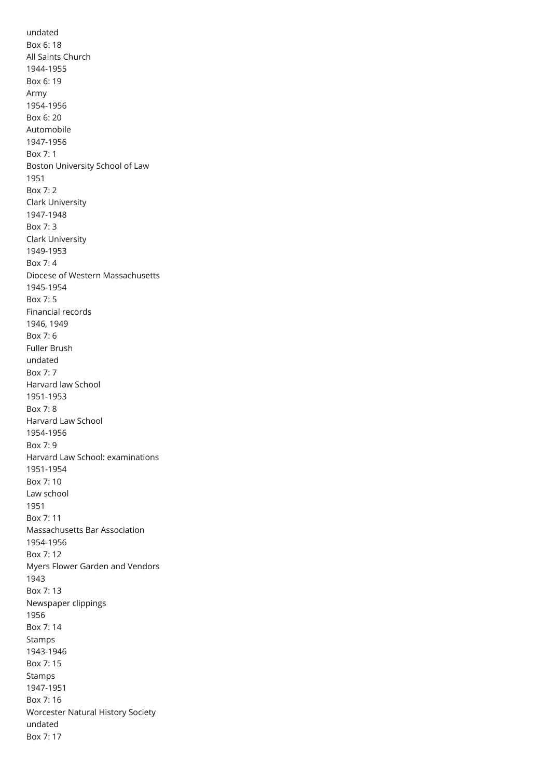<span id="page-10-19"></span><span id="page-10-18"></span><span id="page-10-17"></span><span id="page-10-16"></span><span id="page-10-15"></span><span id="page-10-14"></span><span id="page-10-13"></span><span id="page-10-12"></span><span id="page-10-11"></span><span id="page-10-10"></span><span id="page-10-9"></span><span id="page-10-8"></span><span id="page-10-7"></span><span id="page-10-6"></span><span id="page-10-5"></span><span id="page-10-4"></span><span id="page-10-3"></span><span id="page-10-2"></span><span id="page-10-1"></span><span id="page-10-0"></span>undated Box 6: 18 All Saints Church 1944-1955 Box 6: 19 Army 1954-1956 Box 6: 20 Automobile 1947-1956 Box 7: 1 Boston University School of Law 1951 Box 7: 2 Clark University 1947-1948 Box 7: 3 Clark University 1949-1953 Box 7: 4 Diocese of Western Massachusetts 1945-1954 Box 7: 5 Financial records 1946, 1949 Box 7: 6 Fuller Brush undated Box 7: 7 Harvard law School 1951-1953 Box 7: 8 Harvard Law School 1954-1956 Box 7: 9 Harvard Law School: examinations 1951-1954 Box 7: 10 Law school 1951 Box 7: 11 Massachusetts Bar Association 1954-1956 Box 7: 12 Myers Flower Garden and Vendors 1943 Box 7: 13 Newspaper clippings 1956 Box 7: 14 Stamps 1943-1946 Box 7: 15 Stamps 1947-1951 Box 7: 16 Worcester Natural History Society undated Box 7: 17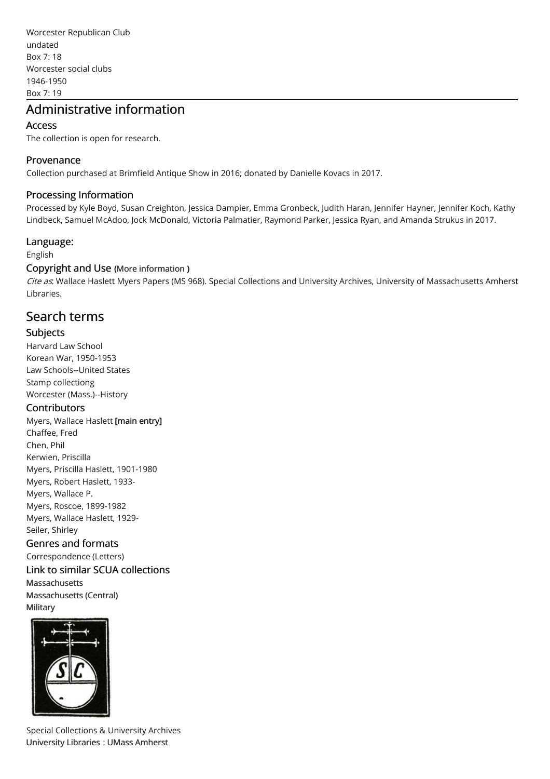<span id="page-11-1"></span><span id="page-11-0"></span>Worcester Republican Club undated Box 7: 18 Worcester social clubs 1946-1950 Box 7: 19

## <span id="page-11-2"></span>Administrative information

#### Access

The collection is open for research.

#### Provenance

Collection purchased at Brimfield Antique Show in 2016; donated by Danielle Kovacs in 2017.

#### Processing Information

Processed by Kyle Boyd, Susan Creighton, Jessica Dampier, Emma Gronbeck, Judith Haran, Jennifer Hayner, Jennifer Koch, Kathy Lindbeck, Samuel McAdoo, Jock McDonald, Victoria Palmatier, Raymond Parker, Jessica Ryan, and Amanda Strukus in 2017.

#### Language:

English

#### Copyright and Use (More [information](http://scua.library.umass.edu/umarmot/?page_id=690) )

Cite as: Wallace Haslett Myers Papers (MS 968). Special Collections and University Archives, University of Massachusetts Amherst Libraries.

## Search terms

#### Subjects

Harvard Law School Korean War, 1950-1953 Law Schools--United States Stamp collectiong Worcester (Mass.)--History

#### **Contributors**

Myers, Wallace Haslett [main entry] Chaffee, Fred Chen, Phil Kerwien, Priscilla Myers, Priscilla Haslett, 1901-1980 Myers, Robert Haslett, 1933- Myers, Wallace P. Myers, Roscoe, 1899-1982 Myers, Wallace Haslett, 1929- Seiler, Shirley

Genres and formats Correspondence (Letters)

## Link to similar SCUA collections [Massachusetts](http://scua.library.umass.edu/umarmot/category/new-england/massachusetts)

[Massachusetts](http://scua.library.umass.edu/umarmot/category/new-england/massachusetts-central) (Central) **[Military](http://scua.library.umass.edu/umarmot/category/military)** 



Special Collections & University Archives [University](http://www.library.umass.edu/) Libraries : UMass [Amherst](http://www.umass.edu/)